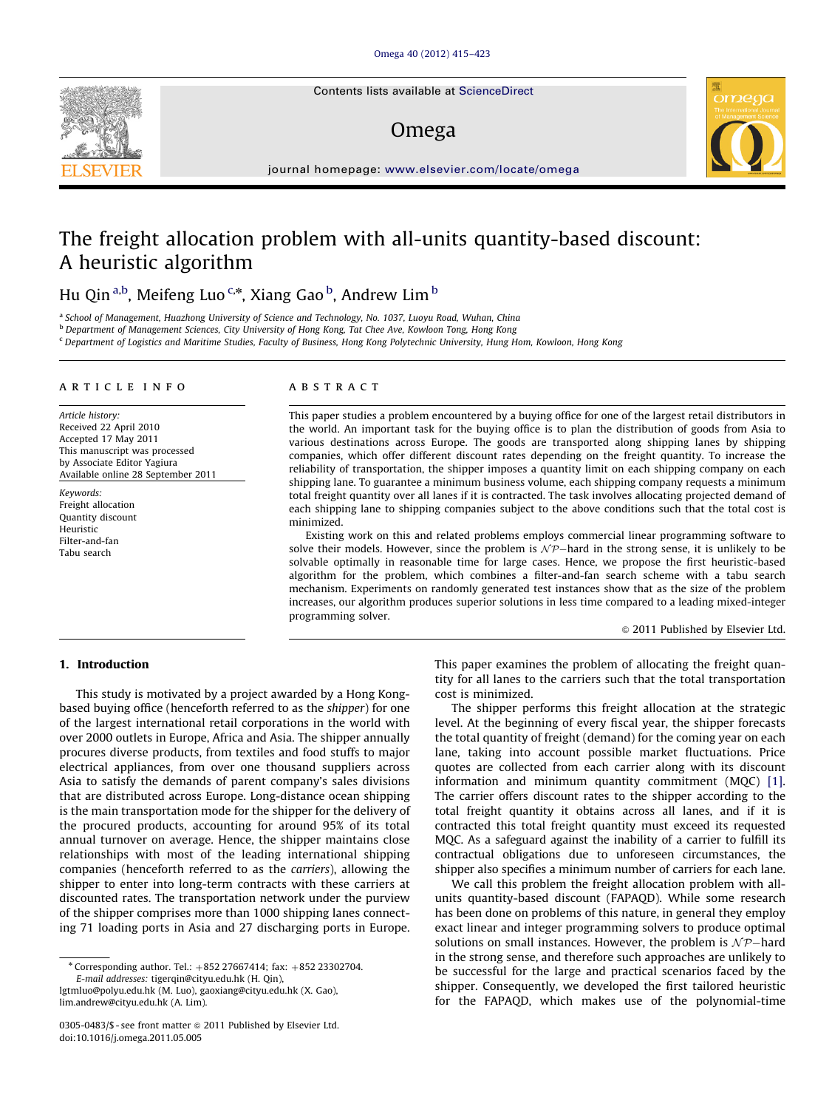Contents lists available at ScienceDirect

## Omega



journal homepage: [www.elsevier.com/locate/omega](www.elsevier.com/locate/ome)

# The freight allocation problem with all-units quantity-based discount: A heuristic algorithm

Hu Qin<sup>a,b</sup>, Meifeng Luo<sup>c,\*</sup>, Xiang Gao<sup>b</sup>, Andrew Lim<sup>b</sup>

<sup>a</sup> School of Management, Huazhong University of Science and Technology, No. 1037, Luoyu Road, Wuhan, China

b Department of Management Sciences, City University of Hong Kong, Tat Chee Ave, Kowloon Tong, Hong Kong

<sup>c</sup> Department of Logistics and Maritime Studies, Faculty of Business, Hong Kong Polytechnic University, Hung Hom, Kowloon, Hong Kong

#### article info

Article history: Received 22 April 2010 Accepted 17 May 2011 This manuscript was processed by Associate Editor Yagiura Available online 28 September 2011

Keywords: Freight allocation Quantity discount Heuristic Filter-and-fan Tabu search

#### **ABSTRACT**

This paper studies a problem encountered by a buying office for one of the largest retail distributors in the world. An important task for the buying office is to plan the distribution of goods from Asia to various destinations across Europe. The goods are transported along shipping lanes by shipping companies, which offer different discount rates depending on the freight quantity. To increase the reliability of transportation, the shipper imposes a quantity limit on each shipping company on each shipping lane. To guarantee a minimum business volume, each shipping company requests a minimum total freight quantity over all lanes if it is contracted. The task involves allocating projected demand of each shipping lane to shipping companies subject to the above conditions such that the total cost is minimized.

Existing work on this and related problems employs commercial linear programming software to solve their models. However, since the problem is  $\mathcal{NP}$ —hard in the strong sense, it is unlikely to be solvable optimally in reasonable time for large cases. Hence, we propose the first heuristic-based algorithm for the problem, which combines a filter-and-fan search scheme with a tabu search mechanism. Experiments on randomly generated test instances show that as the size of the problem increases, our algorithm produces superior solutions in less time compared to a leading mixed-integer programming solver.

 $@$  2011 Published by Elsevier Ltd.

### 1. Introduction

This study is motivated by a project awarded by a Hong Kongbased buying office (henceforth referred to as the shipper) for one of the largest international retail corporations in the world with over 2000 outlets in Europe, Africa and Asia. The shipper annually procures diverse products, from textiles and food stuffs to major electrical appliances, from over one thousand suppliers across Asia to satisfy the demands of parent company's sales divisions that are distributed across Europe. Long-distance ocean shipping is the main transportation mode for the shipper for the delivery of the procured products, accounting for around 95% of its total annual turnover on average. Hence, the shipper maintains close relationships with most of the leading international shipping companies (henceforth referred to as the carriers), allowing the shipper to enter into long-term contracts with these carriers at discounted rates. The transportation network under the purview of the shipper comprises more than 1000 shipping lanes connecting 71 loading ports in Asia and 27 discharging ports in Europe.

[lgtmluo@polyu.edu.hk \(M. Luo\)](mailto:lgtmluo@polyu.edu.hk), [gaoxiang@cityu.edu.hk \(X. Gao\),](mailto:gaoxiang@cityu.edu.hk) [lim.andrew@cityu.edu.hk \(A. Lim\).](mailto:lim.andrew@cityu.edu.hk)

This paper examines the problem of allocating the freight quantity for all lanes to the carriers such that the total transportation cost is minimized.

The shipper performs this freight allocation at the strategic level. At the beginning of every fiscal year, the shipper forecasts the total quantity of freight (demand) for the coming year on each lane, taking into account possible market fluctuations. Price quotes are collected from each carrier along with its discount information and minimum quantity commitment (MQC) [\[1\].](#page--1-0) The carrier offers discount rates to the shipper according to the total freight quantity it obtains across all lanes, and if it is contracted this total freight quantity must exceed its requested MQC. As a safeguard against the inability of a carrier to fulfill its contractual obligations due to unforeseen circumstances, the shipper also specifies a minimum number of carriers for each lane.

We call this problem the freight allocation problem with allunits quantity-based discount (FAPAQD). While some research has been done on problems of this nature, in general they employ exact linear and integer programming solvers to produce optimal solutions on small instances. However, the problem is  $N\mathcal{P}-$ hard in the strong sense, and therefore such approaches are unlikely to be successful for the large and practical scenarios faced by the shipper. Consequently, we developed the first tailored heuristic for the FAPAQD, which makes use of the polynomial-time



 $*$  Corresponding author. Tel.:  $+852$  27667414; fax:  $+852$  23302704. E-mail addresses: [tigerqin@cityu.edu.hk \(H. Qin\),](mailto:tigerqin@cityu.edu.hk)

<sup>0305-0483/\$ -</sup> see front matter  $\odot$  2011 Published by Elsevier Ltd. doi:[10.1016/j.omega.2011.05.005](dx.doi.org/10.1016/j.omega.2011.05.005)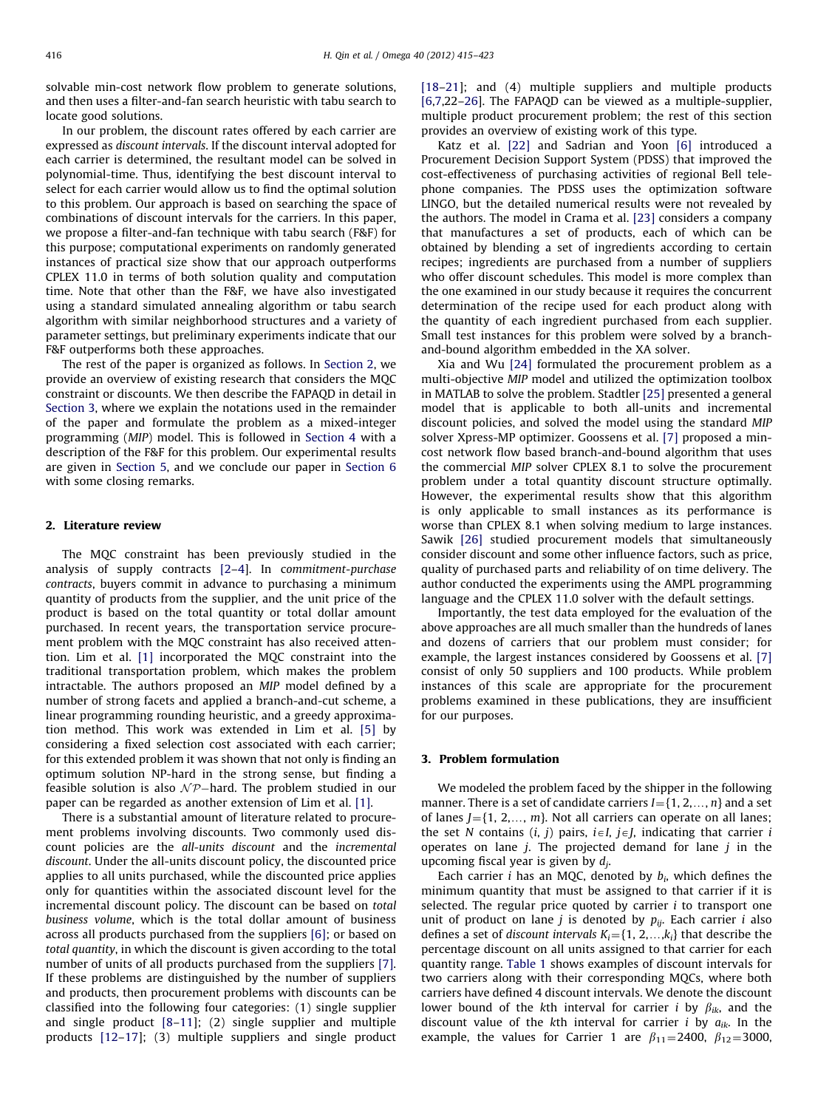solvable min-cost network flow problem to generate solutions, and then uses a filter-and-fan search heuristic with tabu search to locate good solutions.

In our problem, the discount rates offered by each carrier are expressed as discount intervals. If the discount interval adopted for each carrier is determined, the resultant model can be solved in polynomial-time. Thus, identifying the best discount interval to select for each carrier would allow us to find the optimal solution to this problem. Our approach is based on searching the space of combinations of discount intervals for the carriers. In this paper, we propose a filter-and-fan technique with tabu search (F&F) for this purpose; computational experiments on randomly generated instances of practical size show that our approach outperforms CPLEX 11.0 in terms of both solution quality and computation time. Note that other than the F&F, we have also investigated using a standard simulated annealing algorithm or tabu search algorithm with similar neighborhood structures and a variety of parameter settings, but preliminary experiments indicate that our F&F outperforms both these approaches.

The rest of the paper is organized as follows. In Section 2, we provide an overview of existing research that considers the MQC constraint or discounts. We then describe the FAPAQD in detail in Section 3, where we explain the notations used in the remainder of the paper and formulate the problem as a mixed-integer programming (MIP) model. This is followed in [Section 4](#page--1-0) with a description of the F&F for this problem. Our experimental results are given in [Section 5](#page--1-0), and we conclude our paper in [Section 6](#page--1-0) with some closing remarks.

### 2. Literature review

The MQC constraint has been previously studied in the analysis of supply contracts [\[2–4](#page--1-0)]. In commitment-purchase contracts, buyers commit in advance to purchasing a minimum quantity of products from the supplier, and the unit price of the product is based on the total quantity or total dollar amount purchased. In recent years, the transportation service procurement problem with the MQC constraint has also received attention. Lim et al. [\[1\]](#page--1-0) incorporated the MQC constraint into the traditional transportation problem, which makes the problem intractable. The authors proposed an MIP model defined by a number of strong facets and applied a branch-and-cut scheme, a linear programming rounding heuristic, and a greedy approximation method. This work was extended in Lim et al. [\[5\]](#page--1-0) by considering a fixed selection cost associated with each carrier; for this extended problem it was shown that not only is finding an optimum solution NP-hard in the strong sense, but finding a feasible solution is also  $\mathcal{NP}-$ hard. The problem studied in our paper can be regarded as another extension of Lim et al. [\[1\]](#page--1-0).

There is a substantial amount of literature related to procurement problems involving discounts. Two commonly used discount policies are the all-units discount and the incremental discount. Under the all-units discount policy, the discounted price applies to all units purchased, while the discounted price applies only for quantities within the associated discount level for the incremental discount policy. The discount can be based on total business volume, which is the total dollar amount of business across all products purchased from the suppliers [\[6\]](#page--1-0); or based on total quantity, in which the discount is given according to the total number of units of all products purchased from the suppliers [\[7\].](#page--1-0) If these problems are distinguished by the number of suppliers and products, then procurement problems with discounts can be classified into the following four categories: (1) single supplier and single product [\[8–11](#page--1-0)]; (2) single supplier and multiple products [\[12–17](#page--1-0)]; (3) multiple suppliers and single product [\[18–21\]](#page--1-0); and (4) multiple suppliers and multiple products [\[6,7](#page--1-0),22–[26](#page--1-0)]. The FAPAQD can be viewed as a multiple-supplier, multiple product procurement problem; the rest of this section provides an overview of existing work of this type.

Katz et al. [\[22\]](#page--1-0) and Sadrian and Yoon [\[6\]](#page--1-0) introduced a Procurement Decision Support System (PDSS) that improved the cost-effectiveness of purchasing activities of regional Bell telephone companies. The PDSS uses the optimization software LINGO, but the detailed numerical results were not revealed by the authors. The model in Crama et al. [\[23\]](#page--1-0) considers a company that manufactures a set of products, each of which can be obtained by blending a set of ingredients according to certain recipes; ingredients are purchased from a number of suppliers who offer discount schedules. This model is more complex than the one examined in our study because it requires the concurrent determination of the recipe used for each product along with the quantity of each ingredient purchased from each supplier. Small test instances for this problem were solved by a branchand-bound algorithm embedded in the XA solver.

Xia and Wu [\[24\]](#page--1-0) formulated the procurement problem as a multi-objective MIP model and utilized the optimization toolbox in MATLAB to solve the problem. Stadtler [\[25\]](#page--1-0) presented a general model that is applicable to both all-units and incremental discount policies, and solved the model using the standard MIP solver Xpress-MP optimizer. Goossens et al. [\[7\]](#page--1-0) proposed a mincost network flow based branch-and-bound algorithm that uses the commercial MIP solver CPLEX 8.1 to solve the procurement problem under a total quantity discount structure optimally. However, the experimental results show that this algorithm is only applicable to small instances as its performance is worse than CPLEX 8.1 when solving medium to large instances. Sawik [\[26\]](#page--1-0) studied procurement models that simultaneously consider discount and some other influence factors, such as price, quality of purchased parts and reliability of on time delivery. The author conducted the experiments using the AMPL programming language and the CPLEX 11.0 solver with the default settings.

Importantly, the test data employed for the evaluation of the above approaches are all much smaller than the hundreds of lanes and dozens of carriers that our problem must consider; for example, the largest instances considered by Goossens et al. [\[7\]](#page--1-0) consist of only 50 suppliers and 100 products. While problem instances of this scale are appropriate for the procurement problems examined in these publications, they are insufficient for our purposes.

#### 3. Problem formulation

We modeled the problem faced by the shipper in the following manner. There is a set of candidate carriers  $I = \{1, 2, \ldots, n\}$  and a set of lanes  $J$ ={1, 2,..., m}. Not all carriers can operate on all lanes; the set N contains  $(i, j)$  pairs,  $i \in I$ ,  $j \in J$ , indicating that carrier i operates on lane  $j$ . The projected demand for lane  $j$  in the upcoming fiscal year is given by  $d_i$ .

Each carrier *i* has an MQC, denoted by  $b_i$ , which defines the minimum quantity that must be assigned to that carrier if it is selected. The regular price quoted by carrier  $i$  to transport one unit of product on lane *j* is denoted by  $p_{ij}$ . Each carrier *i* also defines a set of discount intervals  $K_i = \{1, 2, \ldots, k_i\}$  that describe the percentage discount on all units assigned to that carrier for each quantity range. [Table 1](#page--1-0) shows examples of discount intervals for two carriers along with their corresponding MQCs, where both carriers have defined 4 discount intervals. We denote the discount lower bound of the kth interval for carrier *i* by  $\beta_{ik}$ , and the discount value of the kth interval for carrier *i* by  $a_{ik}$ . In the example, the values for Carrier 1 are  $\beta_{11} = 2400$ ,  $\beta_{12} = 3000$ ,